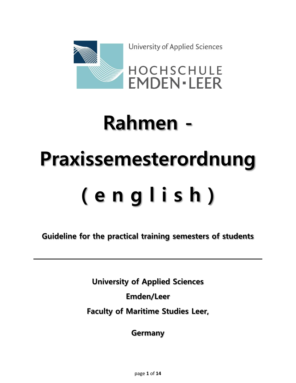

University of Applied Sciences



# **Rahmen - Praxissemesterordnung ( e n g l i s h )**

**Guideline for the practical training semesters of students**

**University of Applied Sciences Emden/Leer Faculty of Maritime Studies Leer,**

**Germany**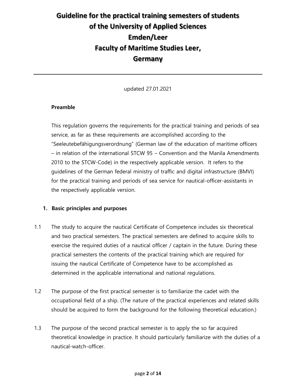### **Guideline for the practical training semesters of students of the University of Applied Sciences Emden/Leer Faculty of Maritime Studies Leer, Germany**

updated 27.01.2021

### **Preamble**

This regulation governs the requirements for the practical training and periods of sea service, as far as these requirements are accomplished according to the "Seeleutebefähigungsverordnung" (German law of the education of maritime officers – in relation of the international STCW 95 – Convention and the Manila Amendments 2010 to the STCW-Code) in the respectively applicable version. It refers to the guidelines of the German federal ministry of traffic and digital infrastructure (BMVI) for the practical training and periods of sea service for nautical-officer-assistants in the respectively applicable version.

### **1. Basic principles and purposes**

- 1.1 The study to acquire the nautical Certificate of Competence includes six theoretical and two practical semesters. The practical semesters are defined to acquire skills to exercise the required duties of a nautical officer / captain in the future. During these practical semesters the contents of the practical training which are required for issuing the nautical Certificate of Competence have to be accomplished as determined in the applicable international and national regulations.
- 1.2 The purpose of the first practical semester is to familiarize the cadet with the occupational field of a ship. (The nature of the practical experiences and related skills should be acquired to form the background for the following theoretical education.)
- 1.3 The purpose of the second practical semester is to apply the so far acquired theoretical knowledge in practice. It should particularly familiarize with the duties of a nautical-watch-officer.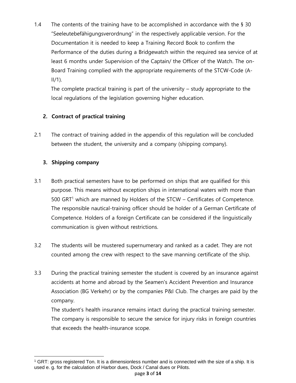1.4 The contents of the training have to be accomplished in accordance with the  $\S$  30 "Seeleutebefähigungsverordnung" in the respectively applicable version. For the Documentation it is needed to keep a Training Record Book to confirm the Performance of the duties during a Bridgewatch within the required sea service of at least 6 months under Supervision of the Captain/ the Officer of the Watch. The on-Board Training complied with the appropriate requirements of the STCW-Code (A- $II/1$ ).

 The complete practical training is part of the university – study appropriate to the local regulations of the legislation governing higher education.

### **2. Contract of practical training**

2.1 The contract of training added in the appendix of this regulation will be concluded between the student, the university and a company (shipping company).

### **3. Shipping company**

- 3.1 Both practical semesters have to be performed on ships that are qualified for this purpose. This means without exception ships in international waters with more than  $500$  GRT<sup>1</sup> which are manned by Holders of the STCW – Certificates of Competence. The responsible nautical-training officer should be holder of a German Certificate of Competence. Holders of a foreign Certificate can be considered if the linguistically communication is given without restrictions.
- 3.2 The students will be mustered supernumerary and ranked as a cadet. They are not counted among the crew with respect to the save manning certificate of the ship.
- 3.3 During the practical training semester the student is covered by an insurance against accidents at home and abroad by the Seamen's Accident Prevention and Insurance Association (BG Verkehr) or by the companies P&I Club. The charges are paid by the company.

The student's health insurance remains intact during the practical training semester. The company is responsible to secure the service for injury risks in foreign countries that exceeds the health-insurance scope.

<sup>&</sup>lt;sup>1</sup> GRT: gross registered Ton. It is a dimensionless number and is connected with the size of a ship. It is used e. g. for the calculation of Harbor dues, Dock / Canal dues or Pilots.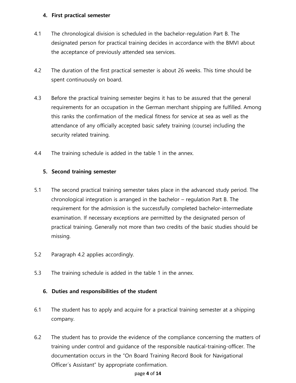### **4. First practical semester**

- 4.1 The chronological division is scheduled in the bachelor-regulation Part B. The designated person for practical training decides in accordance with the BMVI about the acceptance of previously attended sea services.
- 4.2 The duration of the first practical semester is about 26 weeks. This time should be spent continuously on board.
- 4.3 Before the practical training semester begins it has to be assured that the general requirements for an occupation in the German merchant shipping are fulfilled. Among this ranks the confirmation of the medical fitness for service at sea as well as the attendance of any officially accepted basic safety training (course) including the security related training.
- 4.4 The training schedule is added in the table 1 in the annex.

### **5. Second training semester**

- 5.1 The second practical training semester takes place in the advanced study period. The chronological integration is arranged in the bachelor – regulation Part B. The requirement for the admission is the successfully completed bachelor-intermediate examination. If necessary exceptions are permitted by the designated person of practical training. Generally not more than two credits of the basic studies should be missing.
- 5.2 Paragraph 4.2 applies accordingly.
- 5.3 The training schedule is added in the table 1 in the annex.

### **6. Duties and responsibilities of the student**

- 6.1 The student has to apply and acquire for a practical training semester at a shipping company.
- 6.2 The student has to provide the evidence of the compliance concerning the matters of training under control and guidance of the responsible nautical-training-officer. The documentation occurs in the "On Board Training Record Book for Navigational Officer´s Assistant" by appropriate confirmation.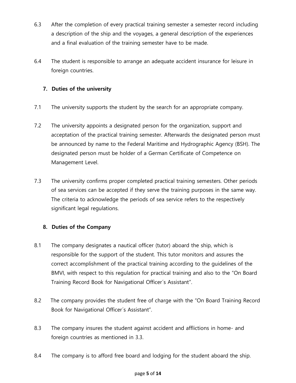- 6.3 After the completion of every practical training semester a semester record including a description of the ship and the voyages, a general description of the experiences and a final evaluation of the training semester have to be made.
- 6.4 The student is responsible to arrange an adequate accident insurance for leisure in foreign countries.

### **7. Duties of the university**

- 7.1 The university supports the student by the search for an appropriate company.
- 7.2 The university appoints a designated person for the organization, support and acceptation of the practical training semester. Afterwards the designated person must be announced by name to the Federal Maritime and Hydrographic Agency (BSH). The designated person must be holder of a German Certificate of Competence on Management Level.
- 7.3 The university confirms proper completed practical training semesters. Other periods of sea services can be accepted if they serve the training purposes in the same way. The criteria to acknowledge the periods of sea service refers to the respectively significant legal regulations.

### **8. Duties of the Company**

- 8.1 The company designates a nautical officer (tutor) aboard the ship, which is responsible for the support of the student. This tutor monitors and assures the correct accomplishment of the practical training according to the guidelines of the BMVI, with respect to this regulation for practical training and also to the "On Board Training Record Book for Navigational Officer´s Assistant".
- 8.2 The company provides the student free of charge with the "On Board Training Record Book for Navigational Officer´s Assistant".
- 8.3 The company insures the student against accident and afflictions in home- and foreign countries as mentioned in 3.3.
- 8.4 The company is to afford free board and lodging for the student aboard the ship.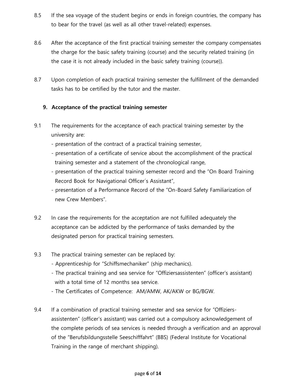- 8.5 If the sea voyage of the student begins or ends in foreign countries, the company has to bear for the travel (as well as all other travel-related) expenses.
- 8.6 After the acceptance of the first practical training semester the company compensates the charge for the basic safety training (course) and the security related training (in the case it is not already included in the basic safety training (course)).
- 8.7 Upon completion of each practical training semester the fulfillment of the demanded tasks has to be certified by the tutor and the master.

### **9. Acceptance of the practical training semester**

- 9.1 The requirements for the acceptance of each practical training semester by the university are:
	- presentation of the contract of a practical training semester,
	- presentation of a certificate of service about the accomplishment of the practical training semester and a statement of the chronological range,
	- presentation of the practical training semester record and the "On Board Training Record Book for Navigational Officer´s Assistant",
	- presentation of a Performance Record of the "On-Board Safety Familiarization of new Crew Members".
- 9.2 In case the requirements for the acceptation are not fulfilled adequately the acceptance can be addicted by the performance of tasks demanded by the designated person for practical training semesters.
- 9.3 The practical training semester can be replaced by:
	- Apprenticeship for "Schiffsmechaniker" (ship mechanics).
	- The practical training and sea service for "Offiziersassistenten" (officer's assistant) with a total time of 12 months sea service.
	- The Certificates of Competence: AM/AMW, AK/AKW or BG/BGW.
- 9.4 If a combination of practical training semester and sea service for "Offiziersassistenten" (officer's assistant) was carried out a compulsory acknowledgement of the complete periods of sea services is needed through a verification and an approval of the "Berufsbildungsstelle Seeschifffahrt" (BBS) (Federal Institute for Vocational Training in the range of merchant shipping).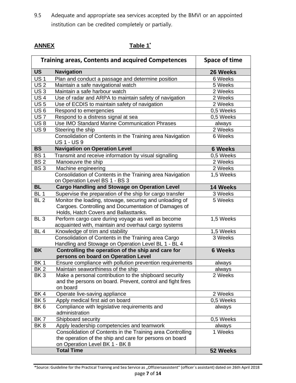9.5 Adequate and appropriate sea services accepted by the BMVI or an appointed institution can be credited completely or partially.

### **ANNEX Table 1\***

| <b>Training areas, Contents and acquired Competences</b> |                                                                                               | Space of time  |
|----------------------------------------------------------|-----------------------------------------------------------------------------------------------|----------------|
| <b>US</b>                                                | <b>Navigation</b>                                                                             | 26 Weeks       |
| <b>US1</b>                                               | Plan and conduct a passage and determine position                                             | 6 Weeks        |
| $\overline{US}$ 2                                        | Maintain a safe navigational watch                                                            | 5 Weeks        |
| US <sub>3</sub>                                          | Maintain a safe harbour watch                                                                 | 2 Weeks        |
| <b>US4</b>                                               | Use of radar and ARPA to maintain safety of navigation                                        | 2 Weeks        |
| <b>US5</b>                                               | Use of ECDIS to maintain safety of navigation                                                 | 2 Weeks        |
| US 6                                                     | Respond to emergencies                                                                        | 0,5 Weeks      |
| US <sub>7</sub>                                          | Respond to a distress signal at sea                                                           | 0,5 Weeks      |
| US <sub>8</sub>                                          | Use IMO Standard Marine Communication Phrases                                                 | always         |
| <b>US9</b>                                               | Steering the ship                                                                             | 2 Weeks        |
|                                                          | Consolidation of Contents in the Training area Navigation<br><b>US1-US9</b>                   | 6 Weeks        |
| <b>BS</b>                                                | <b>Navigation on Operation Level</b>                                                          | <b>6 Weeks</b> |
| <b>BS1</b>                                               | Transmit and receive information by visual signalling                                         | 0,5 Weeks      |
| <b>BS2</b>                                               | Manoeuvre the ship                                                                            | 2 Weeks        |
| BS <sub>3</sub>                                          | Machine engineering                                                                           | 2 Weeks        |
|                                                          | Consolidation of Contents in the Training area Navigation                                     | 1,5 Weeks      |
|                                                          | on Operation Level BS 1 - BS 3                                                                |                |
| <b>BL</b>                                                | <b>Cargo Handling and Stowage on Operation Level</b>                                          | 14 Weeks       |
| BL <sub>1</sub>                                          | Supervise the preparation of the ship for cargo transfer                                      | 3 Weeks        |
| BL <sub>2</sub>                                          | Monitor the loading, stowage, securing and unloading of                                       | 5 Weeks        |
|                                                          | Cargoes. Controlling and Documentation of Damages of<br>Holds, Hatch Covers and Ballasttanks. |                |
| BL <sub>3</sub>                                          | Perform cargo care during voyage as well as become                                            | 1,5 Weeks      |
|                                                          | acquainted with, maintain and overhaul cargo systems                                          |                |
| BL <sub>4</sub>                                          | Knowledge of trim and stability                                                               | 1,5 Weeks      |
|                                                          | Consolidation of Contents in the Training area Cargo                                          | 3 Weeks        |
|                                                          | Handling and Stowage on Operation Level BL 1 - BL 4                                           |                |
| <b>BK</b>                                                | Controlling the operation of the ship and care for                                            | <b>6 Weeks</b> |
|                                                          | persons on board on Operation Level                                                           |                |
| BK1                                                      | Ensure compliance with pollution prevention requirements                                      | always         |
| BK <sub>2</sub>                                          | Maintain seaworthiness of the ship                                                            | always         |
| BK <sub>3</sub>                                          | Make a personal contribution to the shipboard security                                        | 2 Weeks        |
|                                                          | and the persons on board. Prevent, control and fight fires<br>on board                        |                |
| BK4                                                      |                                                                                               | 2 Weeks        |
| BK <sub>5</sub>                                          | Operate live-saving appliance<br>Apply medical first aid on board                             | 0,5 Weeks      |
| BK <sub>6</sub>                                          | Compliance with legislative requirements and                                                  | always         |
|                                                          | administration                                                                                |                |
| BK7                                                      | Shipboard security                                                                            | 0,5 Weeks      |
| BK <sub>8</sub>                                          | Apply leadership competencies and teamwork                                                    | always         |
|                                                          | Consolidation of Contents in the Training area Controlling                                    | 1 Weeks        |
|                                                          | the operation of the ship and care for persons on board                                       |                |
|                                                          | on Operation Level BK 1 - BK 8                                                                |                |
|                                                          | <b>Total Time</b>                                                                             | 52 Weeks       |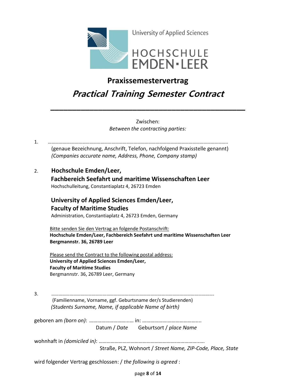

### **Praxissemestervertrag**

## **Practical Training Semester Contract**

**\_\_\_\_\_\_\_\_\_\_\_\_\_\_\_\_\_\_\_\_\_\_\_\_\_\_\_\_\_\_\_\_\_\_\_\_\_\_\_\_\_\_\_\_\_**

Zwischen: *Between the contracting parties:*

1. ……………….……………………………………………………………………………………………………………….. (genaue Bezeichnung, Anschrift, Telefon, nachfolgend Praxisstelle genannt)  *(Companies accurate name, Address, Phone, Company stamp)* 2. **Hochschule Emden/Leer, Fachbereich Seefahrt und maritime Wissenschaften Leer** Hochschulleitung, Constantiaplatz 4, 26723 Emden  **University of Applied Sciences Emden/Leer, Faculty of Maritime Studies** Administration, Constantiaplatz 4, 26723 Emden, Germany Bitte senden Sie den Vertrag an folgende Postanschrift:  **Hochschule Emden/Leer, Fachbereich Seefahrt und maritime Wissenschaften Leer Bergmannstr. 36, 26789 Leer** Please send the Contract to the following postal address: **University of Applied Sciences Emden/Leer, Faculty of Maritime Studies** Bergmannstr. 36, 26789 Leer, Germany 3. ……………………………………………………………………………………………………………………. (Familienname, Vorname, ggf. Geburtsname der/s Studierenden)

*(Students Surname, Name, if applicable Name of birth)*

geboren am *(born on)*: ………………………...… in: ……………….………………….... Datum / *Date* Geburtsort / *place Name*

wohnhaft in *(domiciled in)*: ………………………………………………….……………..….

Straße, PLZ, Wohnort / *Street Name, ZIP-Code, Place, State*

wird folgender Vertrag geschlossen: / *the following is agreed* :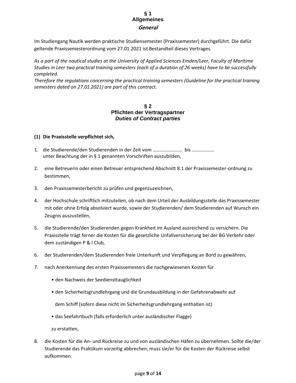### **§ 1 Allgemeines General**

Im Studiengang Nautik werden praktische Studiensemester (Praxissemester) durchgeführt. Die dafür geltende Praxissemesterordnung vom 27.01.2021 ist Bestandteil dieses Vertrages.

*As a part of the nautical studies at the University of Applied Sciences Emden/Leer, Faculty of Maritime Studies in Leer two practical training semesters (each of a duration of 26 weeks) have to be successfully completed.*

*Therefore the regulations concerning the practical training semesters (Guideline for the practical training semesters dated on 27.01.2021) are part of this contract.*

### **§ 2 Pflichten der Vertragspartner** *Duties of Contract parties*

### **(1) Die Praxisstelle verpflichtet sich,**

- 1. die Studierende/den Studierenden in der Zeit vom …………………… bis ……………… unter Beachtung der in § 1 genannten Vorschriften auszubilden,
- 2. eine Betreuerin oder einen Betreuer entsprechend Abschnitt 8.1 der Praxissemester-ordnung zu bestimmen,
- 3. den Praxissemesterbericht zu prüfen und gegenzuzeichnen,
- 4. der Hochschule schriftlich mitzuteilen, ob nach dem Urteil der Ausbildungsstelle das Praxissemester mit oder ohne Erfolg absolviert wurde, sowie der Studierenden/ dem Studierenden auf Wunsch ein Zeugnis auszustellen,
- 5. die Studierende/den Studierenden gegen Krankheit im Ausland ausreichend zu versichern. Die Praxisstelle trägt ferner die Kosten für die gesetzliche Unfallversicherung bei der BG Verkehr oder dem zuständigen P & l Club,
- 6. der Studierenden/dem Studierenden freie Unterkunft und Verpflegung an Bord zu gewähren,
- 7. nach Anerkennung des ersten Praxissemesters die nachgewiesenen Kosten für
	- den Nachweis der Seediensttauglichkeit
	- den Sicherheitsgrundlehrgang und die Grundausbildung in der Gefahrenabwehr auf

dem Schiff (sofern diese nicht im Sicherheitsgrundlehrgang enthalten ist)

• das Seefahrtbuch (falls erforderlich unter ausländischer Flagge)

zu erstatten,

8. die Kosten für die An- und Rückreise zu und von ausländischen Häfen zu übernehmen. Sollte die/der Studierende das Praktikum vorzeitig abbrechen, muss sie/er für die Kosten der Rückreise selbst aufkommen.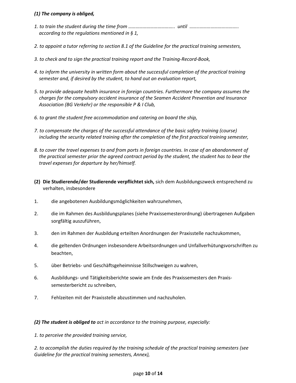### *(1) The company is obliged,*

- *1. to train the student during the time from ……………………………….. until ……..………………………….. according to the regulations mentioned in § 1,*
- *2. to appoint a tutor referring to section 8.1 of the Guideline for the practical training semesters,*
- *3. to check and to sign the practical training report and the Training-Record-Book,*
- *4. to inform the university in written form about the successful completion of the practical training semester and, if desired by the student, to hand out an evaluation report,*
- *5. to provide adequate health insurance in foreign countries. Furthermore the company assumes the charges for the compulsory accident insurance of the Seamen Accident Prevention and Insurance Association (BG Verkehr) or the responsible P & I Club,*
- *6. to grant the student free accommodation and catering on board the ship,*
- *7. to compensate the charges of the successful attendance of the basic safety training (course) including the security related training after the completion of the first practical training semester,*
- *8. to cover the travel expenses to and from ports in foreign countries. In case of an abandonment of the practical semester prior the agreed contract period by the student, the student has to bear the travel expenses for departure by her/himself.*
- **(2) Die Studierende/der Studierende verpflichtet sich,** sich dem Ausbildungszweck entsprechend zu verhalten, insbesondere
- 1. die angebotenen Ausbildungsmöglichkeiten wahrzunehmen,
- 2. die im Rahmen des Ausbildungsplanes (siehe Praxissemesterordnung) übertragenen Aufgaben sorgfältig auszuführen,
- 3. den im Rahmen der Ausbildung erteilten Anordnungen der Praxisstelle nachzukommen,
- 4. die geltenden Ordnungen insbesondere Arbeitsordnungen und Unfallverhütungsvorschriften zu beachten,
- 5. über Betriebs- und Geschäftsgeheimnisse Stillschweigen zu wahren,
- 6. Ausbildungs- und Tätigkeitsberichte sowie am Ende des Praxissemesters den Praxissemesterbericht zu schreiben,
- 7. Fehlzeiten mit der Praxisstelle abzustimmen und nachzuholen.

*(2) The student is obliged to act in accordance to the training purpose, especially:*

#### *1. to perceive the provided training service,*

*2. to accomplish the duties required by the training schedule of the practical training semesters (see Guideline for the practical training semesters, Annex),*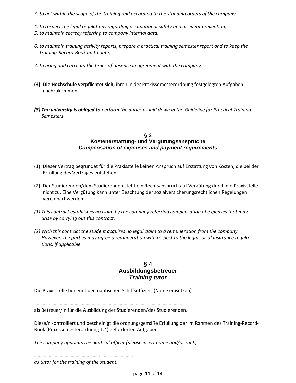- *3. to act within the scope of the training and according to the standing orders of the company,*
- *4. to respect the legal regulations regarding occupational safety and accident prevention,*
- *5. to maintain secrecy referring to company internal data,*
- *6. to maintain training activity reports, prepare a practical training semester report and to keep the Training-Record-Book up to date,*
- *7. to bring and catch up the times of absence in agreement with the company.*
- **(3) Die Hochschule verpflichtet sich,** ihren in der Praxissemesterordnung festgelegten Aufgaben nachzukommen.
- *(3) The university is obliged to perform the duties as laid down in the Guideline for Practical Training Semesters.*

#### **§ 3 Kostenerstattung- und Vergütungsansprüche** *Compensation of expenses and payment requirements*

- (1) Dieser Vertrag begründet für die Praxisstelle keinen Anspruch auf Erstattung von Kosten, die bei der Erfüllung des Vertrages entstehen.
- (2) Der Studierenden/dem Studierenden steht ein Rechtsanspruch auf Vergütung durch die Praxisstelle nicht zu. Eine Vergütung kann unter Beachtung der sozialversicherungsrechtlichen Regelungen vereinbart werden.
- *(1) This contract establishes no claim by the company referring compensation of expenses that may arise by carrying out this contract.*
- *(2) With this contract the student acquires no legal claim to a remuneration from the company. However, the parties may agree a remuneration with respect to the legal social Insurance regula tions, if applicable.*

### **§ 4 Ausbildungsbetreuer** *Training tutor*

Die Praxisstelle benennt den nautischen Schiffsoffizier: (Name einsetzen)

…………………………………………………………………………………………………………. als Betreuer/in für die Ausbildung der Studierenden/des Studierenden.

Diese/r kontrolliert und bescheinigt die ordnungsgemäße Erfüllung der im Rahmen des Training-Record-Book (Praxissemesterordnung 1.4) geforderten Aufgaben.

*The company appoints the nautical officer (please insert name and/or rank)*

*………………………………………………………………………*

*as tutor for the training of the student.*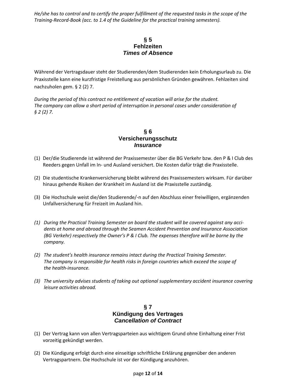*He/she has to control and to certify the proper fulfillment of the requested tasks in the scope of the Training-Record-Book (acc. to 1.4 of the Guideline for the practical training semesters).*

### **§ 5 Fehlzeiten** *Times of Absence*

Während der Vertragsdauer steht der Studierenden/dem Studierenden kein Erholungsurlaub zu. Die Praxisstelle kann eine kurzfristige Freistellung aus persönlichen Gründen gewähren. Fehlzeiten sind nachzuholen gem. § 2 (2) 7.

*During the period of this contract no entitlement of vacation will arise for the student. The company can allow a short period of interruption in personal cases under consideration of § 2 (2) 7.* 

### **§ 6 Versicherungsschutz** *Insurance*

- (1) Der/die Studierende ist während der Praxissemester über die BG Verkehr bzw. den P & I Club des Reeders gegen Unfall im In- und Ausland versichert. Die Kosten dafür trägt die Praxisstelle.
- (2) Die studentische Krankenversicherung bleibt während des Praxissemesters wirksam. Für darüber hinaus gehende Risiken der Krankheit im Ausland ist die Praxisstelle zuständig.
- (3) Die Hochschule weist die/den Studierende/-n auf den Abschluss einer freiwilligen, ergänzenden Unfallversicherung für Freizeit im Ausland hin.
- *(1) During the Practical Training Semester on board the student will be covered against any acci dents at home and abroad through the Seamen Accident Prevention and Insurance Association (BG Verkehr) respectively the Owner's P & I Club. The expenses therefore will be borne by the company.*
- *(2) The student's health insurance remains intact during the Practical Training Semester. The company is responsible for health risks in foreign countries which exceed the scope of the health-insurance.*
- *(3) The university advises students of taking out optional supplementary accident insurance covering leisure activities abroad.*

### **§ 7 Kündigung des Vertrages** *Cancellation of Contract*

- (1) Der Vertrag kann von allen Vertragsparteien aus wichtigem Grund ohne Einhaltung einer Frist vorzeitig gekündigt werden.
- (2) Die Kündigung erfolgt durch eine einseitige schriftliche Erklärung gegenüber den anderen Vertragspartnern. Die Hochschule ist vor der Kündigung anzuhören.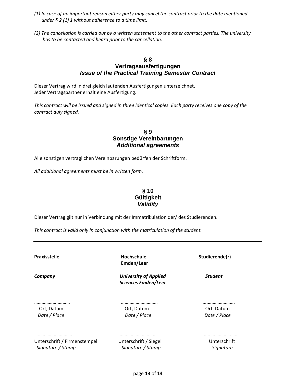- *(1) In case of an important reason either party may cancel the contract prior to the date mentioned under § 2 (1) 1 without adherence to a time limit.*
- *(2) The cancellation is carried out by a written statement to the other contract parties. The university has to be contacted and heard prior to the cancellation.*

### **§ 8 Vertragsausfertigungen** *Issue of the Practical Training Semester Contract*

Dieser Vertrag wird in drei gleich lautenden Ausfertigungen unterzeichnet. Jeder Vertragspartner erhält eine Ausfertigung.

*This contract will be issued and signed in three identical copies. Each party receives one copy of the contract duly signed.*

### **§ 9 Sonstige Vereinbarungen** *Additional agreements*

Alle sonstigen vertraglichen Vereinbarungen bedürfen der Schriftform.

*All additional agreements must be in written form.*

### **§ 10 Gültigkeit** *Validity*

Dieser Vertrag gilt nur in Verbindung mit der Immatrikulation der/ des Studierenden.

*This contract is valid only in conjunction with the matriculation of the student.*

Praxisstelle **Monomial Hochschule Studierende(r)** Studierende(r) **Emden/Leer**

*Company University of Applied Student Sciences Emden/Leer*

………………..……… ………………………… …..…………………. Ort, Datum Ort, Datum Ort, Datum  *Date / Place Date / Place Date / Place*

Unterschrift / Firmenstempel Unterschrift / Siegel Unterschrift  *Signature / Stamp Signature / Stamp Signature*

………………………….. ………………………… …...…………………